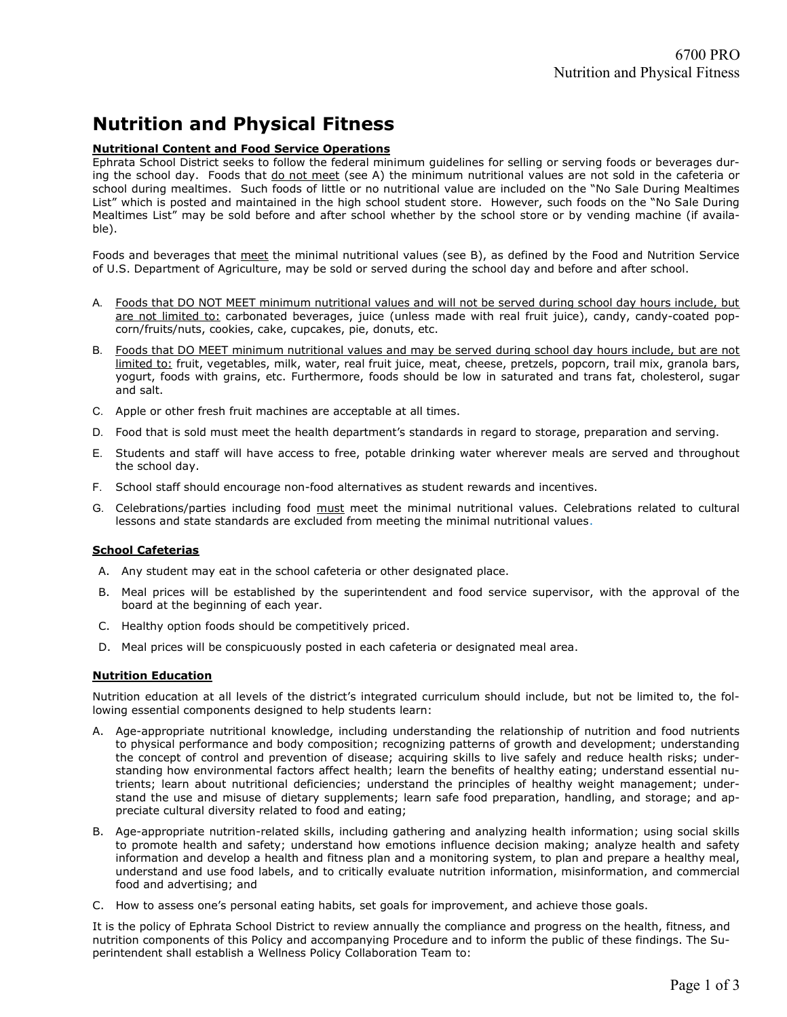# Nutrition and Physical Fitness

# Nutritional Content and Food Service Operations

Ephrata School District seeks to follow the federal minimum guidelines for selling or serving foods or beverages during the school day. Foods that do not meet (see A) the minimum nutritional values are not sold in the cafeteria or school during mealtimes. Such foods of little or no nutritional value are included on the "No Sale During Mealtimes List" which is posted and maintained in the high school student store. However, such foods on the "No Sale During Mealtimes List" may be sold before and after school whether by the school store or by vending machine (if available).

Foods and beverages that meet the minimal nutritional values (see B), as defined by the Food and Nutrition Service of U.S. Department of Agriculture, may be sold or served during the school day and before and after school.

- A. Foods that DO NOT MEET minimum nutritional values and will not be served during school day hours include, but are not limited to: carbonated beverages, juice (unless made with real fruit juice), candy, candy-coated popcorn/fruits/nuts, cookies, cake, cupcakes, pie, donuts, etc.
- B. Foods that DO MEET minimum nutritional values and may be served during school day hours include, but are not limited to: fruit, vegetables, milk, water, real fruit juice, meat, cheese, pretzels, popcorn, trail mix, granola bars, yogurt, foods with grains, etc. Furthermore, foods should be low in saturated and trans fat, cholesterol, sugar and salt.
- C. Apple or other fresh fruit machines are acceptable at all times.
- D. Food that is sold must meet the health department's standards in regard to storage, preparation and serving.
- E. Students and staff will have access to free, potable drinking water wherever meals are served and throughout the school day.
- F. School staff should encourage non-food alternatives as student rewards and incentives.
- G. Celebrations/parties including food must meet the minimal nutritional values. Celebrations related to cultural lessons and state standards are excluded from meeting the minimal nutritional values.

# **School Cafeterias**

- A. Any student may eat in the school cafeteria or other designated place.
- B. Meal prices will be established by the superintendent and food service supervisor, with the approval of the board at the beginning of each year.
- C. Healthy option foods should be competitively priced.
- D. Meal prices will be conspicuously posted in each cafeteria or designated meal area.

# Nutrition Education

Nutrition education at all levels of the district's integrated curriculum should include, but not be limited to, the following essential components designed to help students learn:

- A. Age-appropriate nutritional knowledge, including understanding the relationship of nutrition and food nutrients to physical performance and body composition; recognizing patterns of growth and development; understanding the concept of control and prevention of disease; acquiring skills to live safely and reduce health risks; understanding how environmental factors affect health; learn the benefits of healthy eating; understand essential nutrients; learn about nutritional deficiencies; understand the principles of healthy weight management; understand the use and misuse of dietary supplements; learn safe food preparation, handling, and storage; and appreciate cultural diversity related to food and eating;
- B. Age-appropriate nutrition-related skills, including gathering and analyzing health information; using social skills to promote health and safety; understand how emotions influence decision making; analyze health and safety information and develop a health and fitness plan and a monitoring system, to plan and prepare a healthy meal, understand and use food labels, and to critically evaluate nutrition information, misinformation, and commercial food and advertising; and
- C. How to assess one's personal eating habits, set goals for improvement, and achieve those goals.

It is the policy of Ephrata School District to review annually the compliance and progress on the health, fitness, and nutrition components of this Policy and accompanying Procedure and to inform the public of these findings. The Superintendent shall establish a Wellness Policy Collaboration Team to: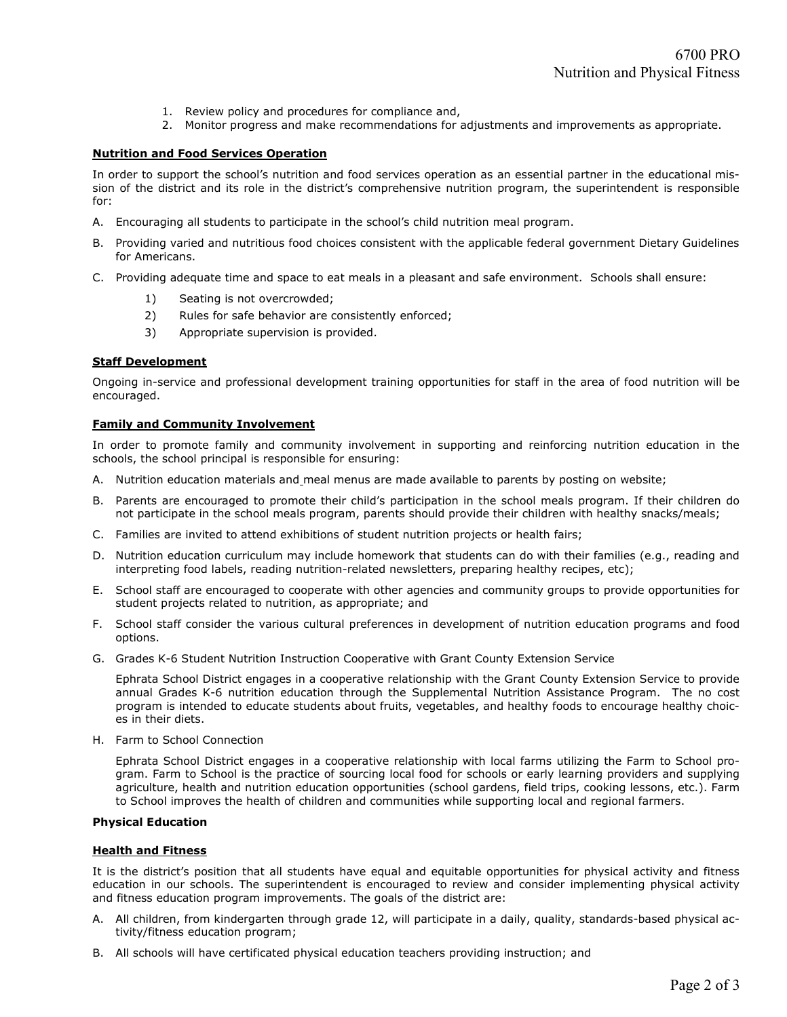- 1. Review policy and procedures for compliance and,
- 2. Monitor progress and make recommendations for adjustments and improvements as appropriate.

## Nutrition and Food Services Operation

In order to support the school's nutrition and food services operation as an essential partner in the educational mission of the district and its role in the district's comprehensive nutrition program, the superintendent is responsible for:

- A. Encouraging all students to participate in the school's child nutrition meal program.
- B. Providing varied and nutritious food choices consistent with the applicable federal government Dietary Guidelines for Americans.
- C. Providing adequate time and space to eat meals in a pleasant and safe environment. Schools shall ensure:
	- 1) Seating is not overcrowded;
	- 2) Rules for safe behavior are consistently enforced;
	- 3) Appropriate supervision is provided.

### Staff Development

Ongoing in-service and professional development training opportunities for staff in the area of food nutrition will be encouraged.

## Family and Community Involvement

In order to promote family and community involvement in supporting and reinforcing nutrition education in the schools, the school principal is responsible for ensuring:

- A. Nutrition education materials and\_meal menus are made available to parents by posting on website;
- B. Parents are encouraged to promote their child's participation in the school meals program. If their children do not participate in the school meals program, parents should provide their children with healthy snacks/meals;
- C. Families are invited to attend exhibitions of student nutrition projects or health fairs;
- D. Nutrition education curriculum may include homework that students can do with their families (e.g., reading and interpreting food labels, reading nutrition-related newsletters, preparing healthy recipes, etc);
- E. School staff are encouraged to cooperate with other agencies and community groups to provide opportunities for student projects related to nutrition, as appropriate; and
- F. School staff consider the various cultural preferences in development of nutrition education programs and food options.
- G. Grades K-6 Student Nutrition Instruction Cooperative with Grant County Extension Service

Ephrata School District engages in a cooperative relationship with the Grant County Extension Service to provide annual Grades K-6 nutrition education through the Supplemental Nutrition Assistance Program. The no cost program is intended to educate students about fruits, vegetables, and healthy foods to encourage healthy choices in their diets.

H. Farm to School Connection

Ephrata School District engages in a cooperative relationship with local farms utilizing the Farm to School program. Farm to School is the practice of sourcing local food for schools or early learning providers and supplying agriculture, health and nutrition education opportunities (school gardens, field trips, cooking lessons, etc.). Farm to School improves the health of children and communities while supporting local and regional farmers.

### Physical Education

### Health and Fitness

It is the district's position that all students have equal and equitable opportunities for physical activity and fitness education in our schools. The superintendent is encouraged to review and consider implementing physical activity and fitness education program improvements. The goals of the district are:

- A. All children, from kindergarten through grade 12, will participate in a daily, quality, standards-based physical activity/fitness education program;
- B. All schools will have certificated physical education teachers providing instruction; and